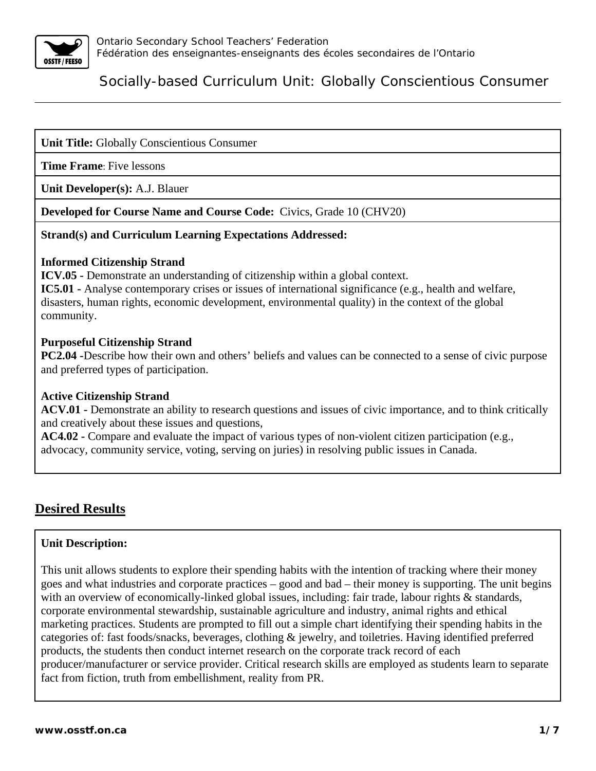

### **Unit Title:** Globally Conscientious Consumer

**Time Frame**: Five lessons

**Unit Developer(s):** A.J. Blauer

**Developed for Course Name and Course Code:** Civics, Grade 10 (CHV20)

#### **Strand(s) and Curriculum Learning Expectations Addressed:**

#### **Informed Citizenship Strand**

**ICV.05 -** Demonstrate an understanding of citizenship within a global context.

**IC5.01 -** Analyse contemporary crises or issues of international significance (e.g., health and welfare, disasters, human rights, economic development, environmental quality) in the context of the global community.

#### **Purposeful Citizenship Strand**

**PC2.04 -**Describe how their own and others' beliefs and values can be connected to a sense of civic purpose and preferred types of participation.

#### **Active Citizenship Strand**

**ACV.01 -** Demonstrate an ability to research questions and issues of civic importance, and to think critically and creatively about these issues and questions,

**AC4.02 -** Compare and evaluate the impact of various types of non-violent citizen participation (e.g., advocacy, community service, voting, serving on juries) in resolving public issues in Canada.

## **Desired Results**

#### **Unit Description:**

This unit allows students to explore their spending habits with the intention of tracking where their money goes and what industries and corporate practices – good and bad – their money is supporting. The unit begins with an overview of economically-linked global issues, including: fair trade, labour rights & standards, corporate environmental stewardship, sustainable agriculture and industry, animal rights and ethical marketing practices. Students are prompted to fill out a simple chart identifying their spending habits in the categories of: fast foods/snacks, beverages, clothing & jewelry, and toiletries. Having identified preferred products, the students then conduct internet research on the corporate track record of each producer/manufacturer or service provider. Critical research skills are employed as students learn to separate fact from fiction, truth from embellishment, reality from PR.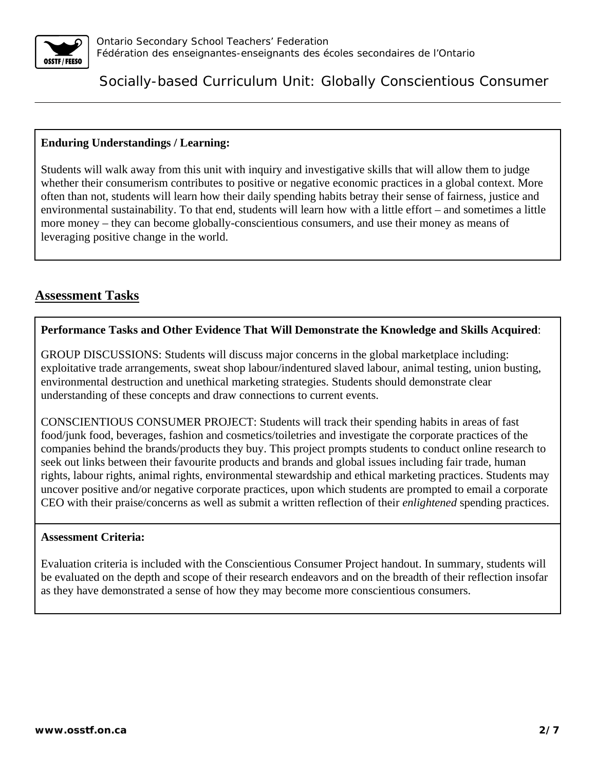

#### **Enduring Understandings / Learning:**

Students will walk away from this unit with inquiry and investigative skills that will allow them to judge whether their consumerism contributes to positive or negative economic practices in a global context. More often than not, students will learn how their daily spending habits betray their sense of fairness, justice and environmental sustainability. To that end, students will learn how with a little effort – and sometimes a little more money – they can become globally-conscientious consumers, and use their money as means of leveraging positive change in the world.

## **Assessment Tasks**

#### **Performance Tasks and Other Evidence That Will Demonstrate the Knowledge and Skills Acquired**:

GROUP DISCUSSIONS: Students will discuss major concerns in the global marketplace including: exploitative trade arrangements, sweat shop labour/indentured slaved labour, animal testing, union busting, environmental destruction and unethical marketing strategies. Students should demonstrate clear understanding of these concepts and draw connections to current events.

CONSCIENTIOUS CONSUMER PROJECT: Students will track their spending habits in areas of fast food/junk food, beverages, fashion and cosmetics/toiletries and investigate the corporate practices of the companies behind the brands/products they buy. This project prompts students to conduct online research to seek out links between their favourite products and brands and global issues including fair trade, human rights, labour rights, animal rights, environmental stewardship and ethical marketing practices. Students may uncover positive and/or negative corporate practices, upon which students are prompted to email a corporate CEO with their praise/concerns as well as submit a written reflection of their *enlightened* spending practices.

#### **Assessment Criteria:**

Evaluation criteria is included with the Conscientious Consumer Project handout. In summary, students will be evaluated on the depth and scope of their research endeavors and on the breadth of their reflection insofar as they have demonstrated a sense of how they may become more conscientious consumers.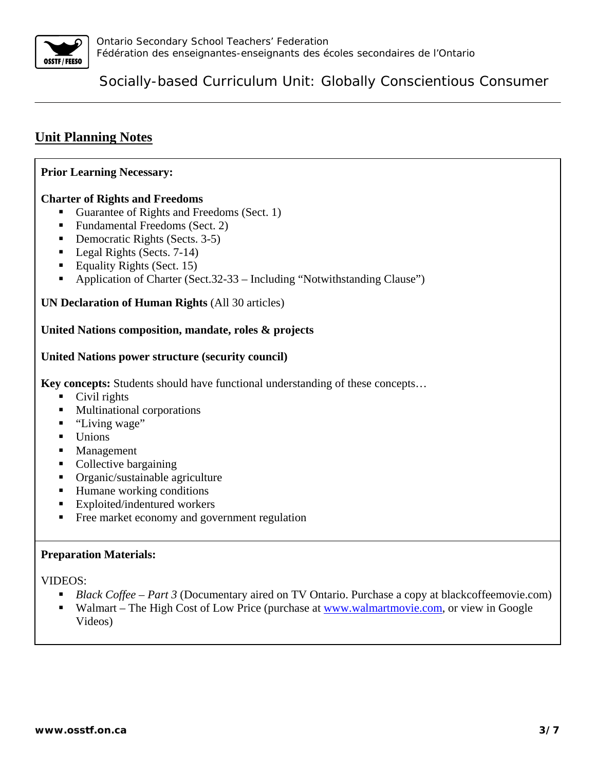

# **Unit Planning Notes**

#### **Prior Learning Necessary:**

#### **Charter of Rights and Freedoms**

- Guarantee of Rights and Freedoms (Sect. 1)
- Fundamental Freedoms (Sect. 2)
- Democratic Rights (Sects. 3-5)
- Legal Rights (Sects. 7-14)
- Equality Rights (Sect. 15)
- Application of Charter (Sect.32-33 Including "Notwithstanding Clause")

#### **UN Declaration of Human Rights** (All 30 articles)

#### **United Nations composition, mandate, roles & projects**

#### **United Nations power structure (security council)**

**Key concepts:** Students should have functional understanding of these concepts…

- Civil rights
- Multinational corporations
- "Living wage"
- Unions
- **Management**
- Collective bargaining
- Organic/sustainable agriculture
- Humane working conditions
- **Exploited/indentured workers**
- Free market economy and government regulation

#### **Preparation Materials:**

VIDEOS:

- *Black Coffee Part 3* (Documentary aired on TV Ontario. Purchase a copy at blackcoffeemovie.com)
- Walmart The High Cost of Low Price (purchase at www.walmartmovie.com, or view in Google Videos)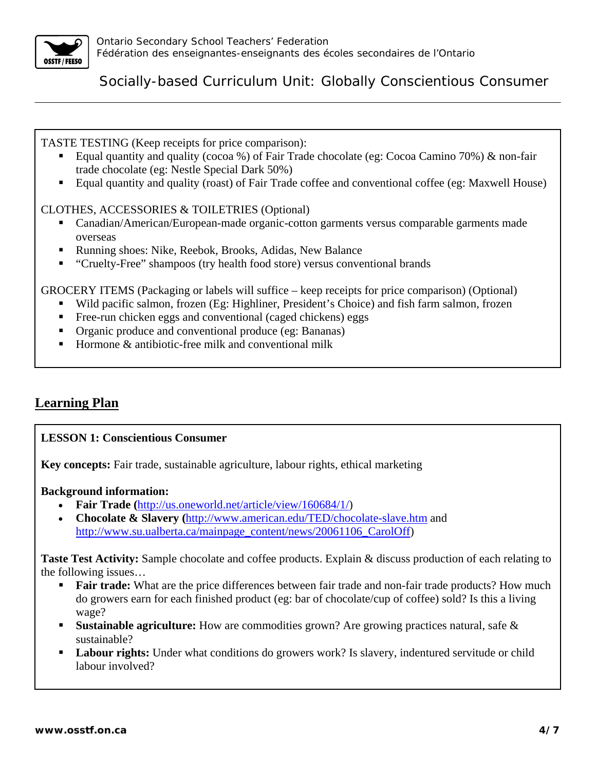

TASTE TESTING (Keep receipts for price comparison):

- Equal quantity and quality (cocoa %) of Fair Trade chocolate (eg: Cocoa Camino 70%)  $\&$  non-fair trade chocolate (eg: Nestle Special Dark 50%)
- Equal quantity and quality (roast) of Fair Trade coffee and conventional coffee (eg: Maxwell House)

## CLOTHES, ACCESSORIES & TOILETRIES (Optional)

- Canadian/American/European-made organic-cotton garments versus comparable garments made overseas
- Running shoes: Nike, Reebok, Brooks, Adidas, New Balance
- "Cruelty-Free" shampoos (try health food store) versus conventional brands

GROCERY ITEMS (Packaging or labels will suffice – keep receipts for price comparison) (Optional)

- Wild pacific salmon, frozen (Eg: Highliner, President's Choice) and fish farm salmon, frozen
- Free-run chicken eggs and conventional (caged chickens) eggs
- Organic produce and conventional produce (eg: Bananas)
- Hormone  $\&$  antibiotic-free milk and conventional milk

# **Learning Plan**

## **LESSON 1: Conscientious Consumer**

**Key concepts:** Fair trade, sustainable agriculture, labour rights, ethical marketing

#### **Background information:**

- **Fair Trade (**http://us.oneworld.net/article/view/160684/1/)
- **Chocolate & Slavery (**http://www.american.edu/TED/chocolate-slave.htm and http://www.su.ualberta.ca/mainpage\_content/news/20061106\_CarolOff)

**Taste Test Activity:** Sample chocolate and coffee products. Explain & discuss production of each relating to the following issues…

- **Fair trade:** What are the price differences between fair trade and non-fair trade products? How much do growers earn for each finished product (eg: bar of chocolate/cup of coffee) sold? Is this a living wage?
- **Sustainable agriculture:** How are commodities grown? Are growing practices natural, safe & sustainable?
- **Labour rights:** Under what conditions do growers work? Is slavery, indentured servitude or child labour involved?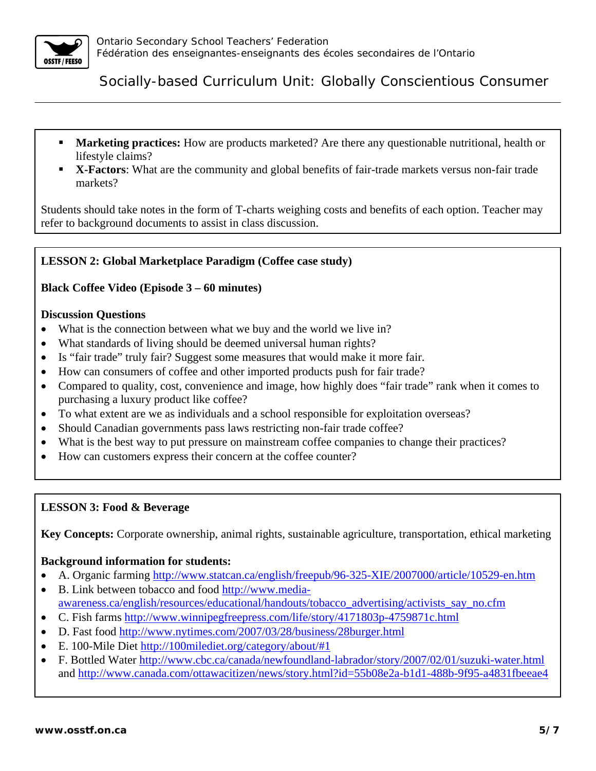

- **Marketing practices:** How are products marketed? Are there any questionable nutritional, health or lifestyle claims?
- **X-Factors:** What are the community and global benefits of fair-trade markets versus non-fair trade markets?

Students should take notes in the form of T-charts weighing costs and benefits of each option. Teacher may refer to background documents to assist in class discussion.

## **LESSON 2: Global Marketplace Paradigm (Coffee case study)**

### **Black Coffee Video (Episode 3 – 60 minutes)**

#### **Discussion Questions**

- What is the connection between what we buy and the world we live in?
- What standards of living should be deemed universal human rights?
- Is "fair trade" truly fair? Suggest some measures that would make it more fair.
- How can consumers of coffee and other imported products push for fair trade?
- Compared to quality, cost, convenience and image, how highly does "fair trade" rank when it comes to purchasing a luxury product like coffee?
- To what extent are we as individuals and a school responsible for exploitation overseas?
- Should Canadian governments pass laws restricting non-fair trade coffee?
- What is the best way to put pressure on mainstream coffee companies to change their practices?
- How can customers express their concern at the coffee counter?

#### **LESSON 3: Food & Beverage**

**Key Concepts:** Corporate ownership, animal rights, sustainable agriculture, transportation, ethical marketing

#### **Background information for students:**

- A. Organic farming http://www.statcan.ca/english/freepub/96-325-XIE/2007000/article/10529-en.htm
- B. Link between tobacco and food http://www.mediaawareness.ca/english/resources/educational/handouts/tobacco\_advertising/activists\_say\_no.cfm
- C. Fish farms http://www.winnipegfreepress.com/life/story/4171803p-4759871c.html
- D. Fast food http://www.nytimes.com/2007/03/28/business/28burger.html
- E. 100-Mile Diet http://100milediet.org/category/about/#1
- F. Bottled Water http://www.cbc.ca/canada/newfoundland-labrador/story/2007/02/01/suzuki-water.html and http://www.canada.com/ottawacitizen/news/story.html?id=55b08e2a-b1d1-488b-9f95-a4831fbeeae4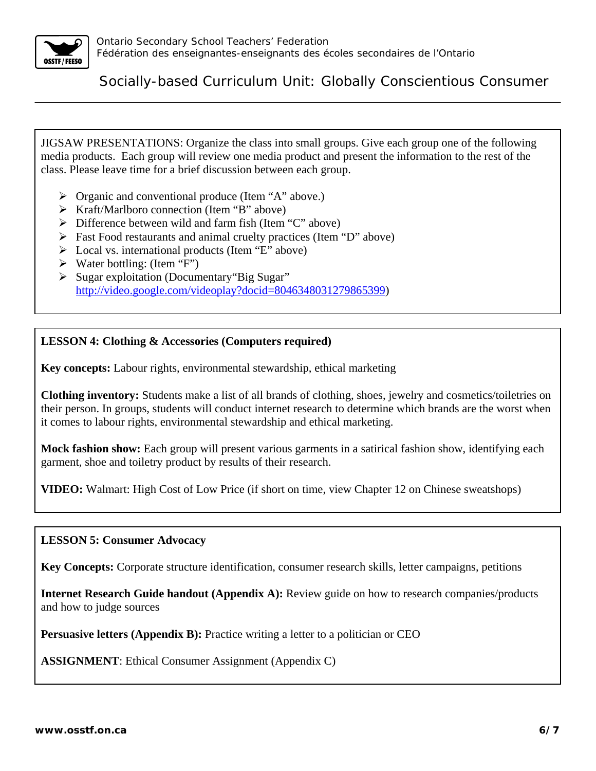

JIGSAW PRESENTATIONS: Organize the class into small groups. Give each group one of the following media products. Each group will review one media product and present the information to the rest of the class. Please leave time for a brief discussion between each group.

- $\triangleright$  Organic and conventional produce (Item "A" above.)
- $\triangleright$  Kraft/Marlboro connection (Item "B" above)
- $\triangleright$  Difference between wild and farm fish (Item "C" above)
- $\triangleright$  Fast Food restaurants and animal cruelty practices (Item "D" above)
- $\triangleright$  Local vs. international products (Item "E" above)
- $\triangleright$  Water bottling: (Item "F")
- ¾ Sugar exploitation (Documentary"Big Sugar" http://video.google.com/videoplay?docid=8046348031279865399)

#### **LESSON 4: Clothing & Accessories (Computers required)**

**Key concepts:** Labour rights, environmental stewardship, ethical marketing

**Clothing inventory:** Students make a list of all brands of clothing, shoes, jewelry and cosmetics/toiletries on their person. In groups, students will conduct internet research to determine which brands are the worst when it comes to labour rights, environmental stewardship and ethical marketing.

**Mock fashion show:** Each group will present various garments in a satirical fashion show, identifying each garment, shoe and toiletry product by results of their research.

**VIDEO:** Walmart: High Cost of Low Price (if short on time, view Chapter 12 on Chinese sweatshops)

#### **LESSON 5: Consumer Advocacy**

**Key Concepts:** Corporate structure identification, consumer research skills, letter campaigns, petitions

**Internet Research Guide handout (Appendix A):** Review guide on how to research companies/products and how to judge sources

**Persuasive letters (Appendix B):** Practice writing a letter to a politician or CEO

**ASSIGNMENT**: Ethical Consumer Assignment (Appendix C)